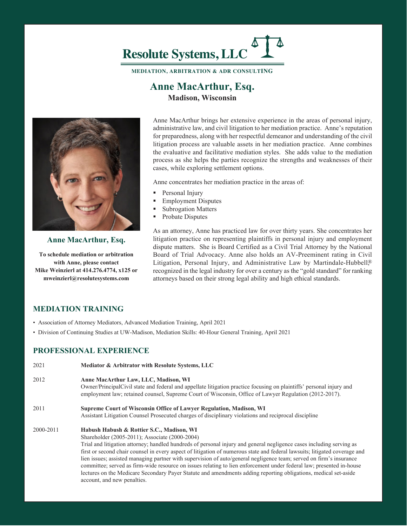

**MEDIATION, ARBITRATION & ADR CONSULTING**

# **Anne MacArthur, Esq.**

**Madison, Wisconsin**



**Anne MacArthur, Esq.** 

**To schedule mediation or arbitration with Anne, please contact Mike Weinzierl at 414.276.4774, x125 or mweinzierl@resolutesystems.com**

Anne MacArthur brings her extensive experience in the areas of personal injury, administrative law, and civil litigation to her mediation practice. Anne's reputation for preparedness, along with her respectful demeanor and understanding of the civil litigation process are valuable assets in her mediation practice. Anne combines the evaluative and facilitative mediation styles. She adds value to the mediation process as she helps the parties recognize the strengths and weaknesses of their cases, while exploring settlement options.

Anne concentrates her mediation practice in the areas of:

- Personal Injury
- Employment Disputes
- Subrogation Matters
- Probate Disputes

As an attorney, Anne has practiced law for over thirty years. She concentrates her litigation practice on representing plaintiffs in personal injury and employment dispute matters. She is Board Certified as a Civil Trial Attorney by the National Board of Trial Advocacy. Anne also holds an AV-Preeminent rating in Civil Litigation, Personal Injury, and Administrative Law by Martindale-Hubbell,<sup>®</sup> recognized in the legal industry for over a century as the "gold standard" for ranking attorneys based on their strong legal ability and high ethical standards.

### **MEDIATION TRAINING**

- Association of Attorney Mediators, Advanced Mediation Training, April 2021
- Division of Continuing Studies at UW-Madison, Mediation Skills: 40-Hour General Training, April 2021

#### **PROFESSIONAL EXPERIENCE**

| 2021      | Mediator & Arbitrator with Resolute Systems, LLC                                                                                                                                                                                                                                                                                                                                                                                                                                                                                                                                                                                                                                                                                                   |
|-----------|----------------------------------------------------------------------------------------------------------------------------------------------------------------------------------------------------------------------------------------------------------------------------------------------------------------------------------------------------------------------------------------------------------------------------------------------------------------------------------------------------------------------------------------------------------------------------------------------------------------------------------------------------------------------------------------------------------------------------------------------------|
| 2012      | Anne MacArthur Law, LLC, Madison, WI<br>Owner/PrincipalCivil state and federal and appellate litigation practice focusing on plaintiffs' personal injury and<br>employment law; retained counsel, Supreme Court of Wisconsin, Office of Lawyer Regulation (2012-2017).                                                                                                                                                                                                                                                                                                                                                                                                                                                                             |
| 2011      | <b>Supreme Court of Wisconsin Office of Lawyer Regulation, Madison, WI</b><br>Assistant Litigation Counsel Prosecuted charges of disciplinary violations and reciprocal discipline                                                                                                                                                                                                                                                                                                                                                                                                                                                                                                                                                                 |
| 2000-2011 | Habush Habush & Rottier S.C., Madison, WI<br>Shareholder (2005-2011); Associate (2000-2004)<br>Trial and litigation attorney; handled hundreds of personal injury and general negligence cases including serving as<br>first or second chair counsel in every aspect of litigation of numerous state and federal lawsuits; litigated coverage and<br>lien issues; assisted managing partner with supervision of auto/general negligence team; served on firm's insurance<br>committee; served as firm-wide resource on issues relating to lien enforcement under federal law; presented in-house<br>lectures on the Medicare Secondary Payer Statute and amendments adding reporting obligations, medical set-aside<br>account, and new penalties. |